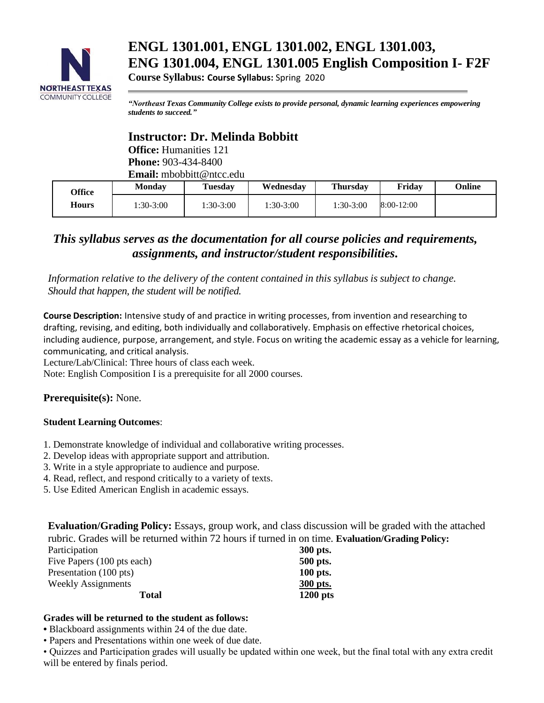

# **ENGL 1301.001, ENGL 1301.002, ENGL 1301.003, ENG 1301.004, ENGL 1301.005 English Composition I- F2F**

**Course Syllabus: Course Syllabus:** Spring 2020

*"Northeast Texas Community College exists to provide personal, dynamic learning experiences empowering students to succeed."*

# **Instructor: Dr. Melinda Bobbitt**

**Office:** Humanities 121 **Phone:** 903-434-8400 **Email:** mbobbitt@ntcc.edu

| Office | <b>Monday</b>   | <b>Tuesday</b>  | Wednesdav  | <b>Thursdav</b> | Fridav     | <b>Online</b> |
|--------|-----------------|-----------------|------------|-----------------|------------|---------------|
| Hours  | $\pm 30 - 3:00$ | $\pm 30 - 3:00$ | $:30-3:00$ | 1:30-3:00       | 8:00-12:00 |               |

# *This syllabus serves as the documentation for all course policies and requirements, assignments, and instructor/student responsibilities.*

*Information relative to the delivery of the content contained in this syllabus is subject to change. Should that happen, the student will be notified.*

**Course Description:** Intensive study of and practice in writing processes, from invention and researching to drafting, revising, and editing, both individually and collaboratively. Emphasis on effective rhetorical choices, including audience, purpose, arrangement, and style. Focus on writing the academic essay as a vehicle for learning, communicating, and critical analysis.

Lecture/Lab/Clinical: Three hours of class each week.

Note: English Composition I is a prerequisite for all 2000 courses.

**Prerequisite(s):** None.

### **Student Learning Outcomes**:

- 1. Demonstrate knowledge of individual and collaborative writing processes.
- 2. Develop ideas with appropriate support and attribution.
- 3. Write in a style appropriate to audience and purpose.
- 4. Read, reflect, and respond critically to a variety of texts.
- 5. Use Edited American English in academic essays.

**Evaluation/Grading Policy:** Essays, group work, and class discussion will be graded with the attached rubric. Grades will be returned within 72 hours if turned in on time. **Evaluation/Grading Policy:**

| Participation              | 300 pts.   |
|----------------------------|------------|
| Five Papers (100 pts each) | 500 pts.   |
| Presentation (100 pts)     | 100 pts.   |
| <b>Weekly Assignments</b>  | 300 pts.   |
| <b>Total</b>               | $1200$ pts |

### **Grades will be returned to the student as follows:**

**•** Blackboard assignments within 24 of the due date.

• Papers and Presentations within one week of due date.

• Quizzes and Participation grades will usually be updated within one week, but the final total with any extra credit will be entered by finals period.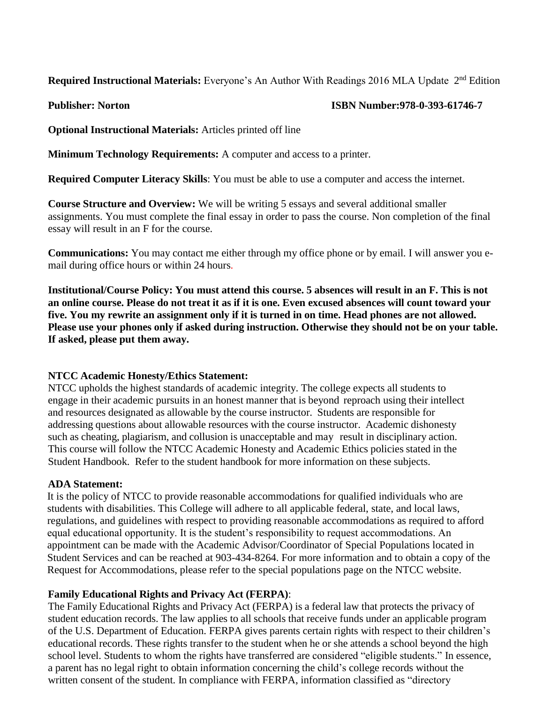**Required Instructional Materials:** Everyone's An Author With Readings 2016 MLA Update 2<sup>nd</sup> Edition

### **Publisher: Norton ISBN Number:978-0-393-61746-7**

**Optional Instructional Materials:** Articles printed off line

**Minimum Technology Requirements:** A computer and access to a printer.

**Required Computer Literacy Skills**: You must be able to use a computer and access the internet.

**Course Structure and Overview:** We will be writing 5 essays and several additional smaller assignments. You must complete the final essay in order to pass the course. Non completion of the final essay will result in an F for the course.

**Communications:** You may contact me either through my office phone or by email. I will answer you email during office hours or within 24 hours.

**Institutional/Course Policy: You must attend this course. 5 absences will result in an F. This is not an online course. Please do not treat it as if it is one. Even excused absences will count toward your five. You my rewrite an assignment only if it is turned in on time. Head phones are not allowed. Please use your phones only if asked during instruction. Otherwise they should not be on your table. If asked, please put them away.**

### **NTCC Academic Honesty/Ethics Statement:**

NTCC upholds the highest standards of academic integrity. The college expects all students to engage in their academic pursuits in an honest manner that is beyond reproach using their intellect and resources designated as allowable by the course instructor. Students are responsible for addressing questions about allowable resources with the course instructor. Academic dishonesty such as cheating, plagiarism, and collusion is unacceptable and may result in disciplinary action. This course will follow the NTCC Academic Honesty and Academic Ethics policies stated in the Student Handbook. Refer to the student handbook for more information on these subjects.

### **ADA Statement:**

It is the policy of NTCC to provide reasonable accommodations for qualified individuals who are students with disabilities. This College will adhere to all applicable federal, state, and local laws, regulations, and guidelines with respect to providing reasonable accommodations as required to afford equal educational opportunity. It is the student's responsibility to request accommodations. An appointment can be made with the Academic Advisor/Coordinator of Special Populations located in Student Services and can be reached at 903-434-8264. For more information and to obtain a copy of the Request for Accommodations, please refer to the special populations page on the NTCC websit[e.](http://www.ntcc.edu/index.php?module=Pagesetter&func=viewpub&tid=111&pid=1) 

### **Family Educational Rights and Privacy Act (FERPA)**:

The Family Educational Rights and Privacy Act (FERPA) is a federal law that protects the privacy of student education records. The law applies to all schools that receive funds under an applicable program of the U.S. Department of Education. FERPA gives parents certain rights with respect to their children's educational records. These rights transfer to the student when he or she attends a school beyond the high school level. Students to whom the rights have transferred are considered "eligible students." In essence, a parent has no legal right to obtain information concerning the child's college records without the written consent of the student. In compliance with FERPA, information classified as "directory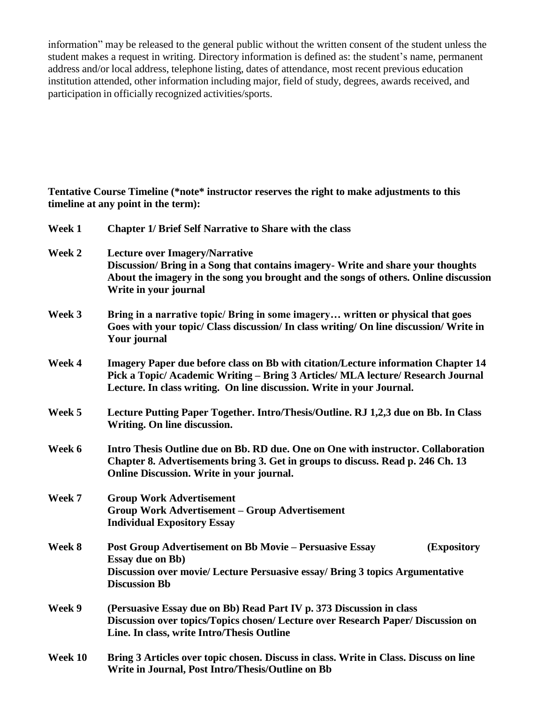information" may be released to the general public without the written consent of the student unless the student makes a request in writing. Directory information is defined as: the student's name, permanent address and/or local address, telephone listing, dates of attendance, most recent previous education institution attended, other information including major, field of study, degrees, awards received, and participation in officially recognized activities/sports.

**Tentative Course Timeline (\*note\* instructor reserves the right to make adjustments to this timeline at any point in the term):**

| Week 1  | <b>Chapter 1/ Brief Self Narrative to Share with the class</b>                                                                                                                                                                                 |  |  |
|---------|------------------------------------------------------------------------------------------------------------------------------------------------------------------------------------------------------------------------------------------------|--|--|
| Week 2  | <b>Lecture over Imagery/Narrative</b><br>Discussion/Bring in a Song that contains imagery-Write and share your thoughts<br>About the imagery in the song you brought and the songs of others. Online discussion<br>Write in your journal       |  |  |
| Week 3  | Bring in a narrative topic/ Bring in some imagery written or physical that goes<br>Goes with your topic/ Class discussion/ In class writing/ On line discussion/ Write in<br><b>Your journal</b>                                               |  |  |
| Week 4  | Imagery Paper due before class on Bb with citation/Lecture information Chapter 14<br>Pick a Topic/ Academic Writing - Bring 3 Articles/ MLA lecture/ Research Journal<br>Lecture. In class writing. On line discussion. Write in your Journal. |  |  |
| Week 5  | Lecture Putting Paper Together. Intro/Thesis/Outline. RJ 1,2,3 due on Bb. In Class<br>Writing. On line discussion.                                                                                                                             |  |  |
| Week 6  | Intro Thesis Outline due on Bb. RD due. One on One with instructor. Collaboration<br>Chapter 8. Advertisements bring 3. Get in groups to discuss. Read p. 246 Ch. 13<br>Online Discussion. Write in your journal.                              |  |  |
| Week 7  | <b>Group Work Advertisement</b><br><b>Group Work Advertisement - Group Advertisement</b><br><b>Individual Expository Essay</b>                                                                                                                 |  |  |
| Week 8  | <b>Post Group Advertisement on Bb Movie – Persuasive Essay</b><br>(Expository<br><b>Essay due on Bb)</b><br>Discussion over movie/ Lecture Persuasive essay/ Bring 3 topics Argumentative<br><b>Discussion Bb</b>                              |  |  |
| Week 9  | (Persuasive Essay due on Bb) Read Part IV p. 373 Discussion in class<br>Discussion over topics/Topics chosen/ Lecture over Research Paper/ Discussion on<br>Line. In class, write Intro/Thesis Outline                                         |  |  |
| Week 10 | Bring 3 Articles over topic chosen. Discuss in class. Write in Class. Discuss on line<br>Write in Journal, Post Intro/Thesis/Outline on Bb                                                                                                     |  |  |